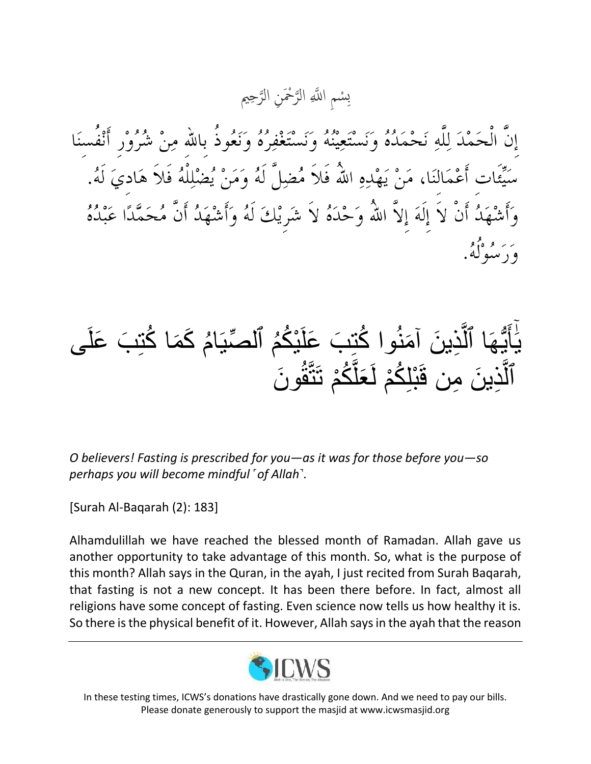ِحمي ه َْْح ِن الر ه الر ا هَّللِ ِ ْسم ِب

يٰأَيُّهَا ٱلَّذِينَ آمَنُوا كُتِبَ عَلَيْكُمُ ٱلصِّيَامُ كَمَا كُتِبَ عَلَى **ّ** و<br>ا ة<br>ا ن<br>ٌمُ م<br>ا<br>ا َٰٓ  $\overline{\phantom{a}}$ ٱلَّذِينَ مِن قَبْلِكُمْ لَعَلَّكُمْ تَتَّقُونَ ءِ<br>پيد اُ

*O believers! Fasting is prescribed for you—as it was for those before you—so perhaps you will become mindful ˹of Allah˺.*

[Surah Al-Baqarah (2): 183]

Alhamdulillah we have reached the blessed month of Ramadan. Allah gave us another opportunity to take advantage of this month. So, what is the purpose of this month? Allah says in the Quran, in the ayah, I just recited from Surah Baqarah, that fasting is not a new concept. It has been there before. In fact, almost all religions have some concept of fasting. Even science now tells us how healthy it is. So there is the physical benefit of it. However, Allah says in the ayah that the reason



In these testing times, ICWS's donations have drastically gone down. And we need to pay our bills. Please donate generously to support the masjid at www.icwsmasjid.org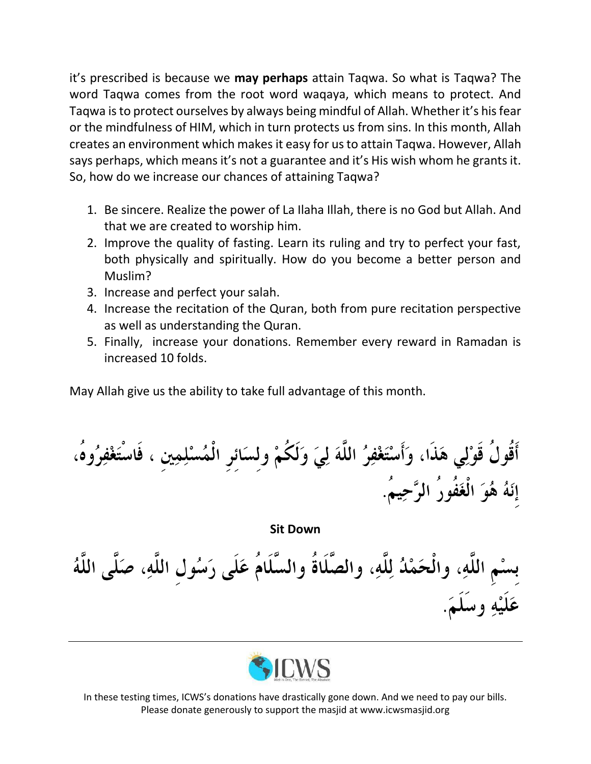it's prescribed is because we **may perhaps** attain Taqwa. So what is Taqwa? The word Taqwa comes from the root word waqaya, which means to protect. And Taqwa is to protect ourselves by always being mindful of Allah. Whether it's his fear or the mindfulness of HIM, which in turn protects us from sins. In this month, Allah creates an environment which makes it easy for us to attain Taqwa. However, Allah says perhaps, which means it's not a guarantee and it's His wish whom he grants it. So, how do we increase our chances of attaining Taqwa?

- 1. Be sincere. Realize the power of La Ilaha Illah, there is no God but Allah. And that we are created to worship him.
- 2. Improve the quality of fasting. Learn its ruling and try to perfect your fast, both physically and spiritually. How do you become a better person and Muslim?
- 3. Increase and perfect your salah.
- 4. Increase the recitation of the Quran, both from pure recitation perspective as well as understanding the Quran.
- 5. Finally, increase your donations. Remember every reward in Ramadan is increased 10 folds.

May Allah give us the ability to take full advantage of this month.

أَقُولُ قَوْلِي هَذَا، وَأَسْتَغْفِرُ اللَّهَ لِيَ وَلَكُمْ وِلسَائِرِ الْمُسْلِمِينِ ، فَاسْتَغْفِرُوهُ، إِنَهُ هُوَ الْغَفُورُ الرَّحِيمُ.

**Sit Down**

بِسْمِ اللَّهِ، والْحَمْدُ لِلَّهِ، والصَّلَاةُ والسَّلَامُ عَلَى رَسُولِ اللَّهِ، صَلَّى اللَّهُ عَلَيْهِ وسَلَمَ.



In these testing times, ICWS's donations have drastically gone down. And we need to pay our bills. Please donate generously to support the masjid at www.icwsmasjid.org